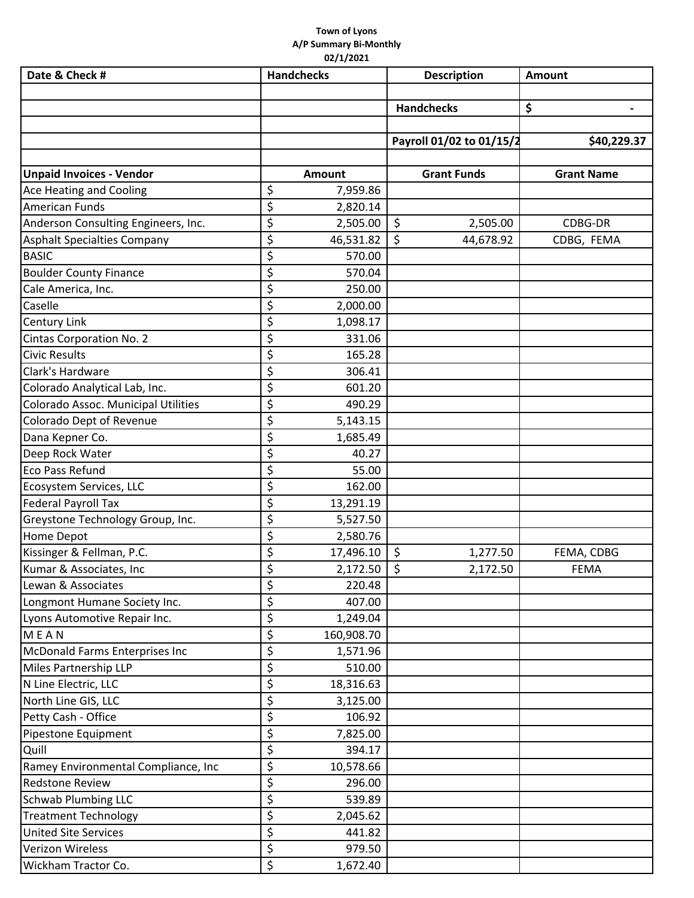## **Town of Lyons A/P Summary Bi‐Monthly 02/1/2021**

| Date & Check #                      | <b>Handchecks</b> | <b>Description</b>               | <b>Amount</b>     |
|-------------------------------------|-------------------|----------------------------------|-------------------|
|                                     |                   |                                  |                   |
|                                     |                   | <b>Handchecks</b>                | \$                |
|                                     |                   |                                  |                   |
|                                     |                   | Payroll 01/02 to 01/15/2         | \$40,229.37       |
| <b>Unpaid Invoices - Vendor</b>     | Amount            | <b>Grant Funds</b>               | <b>Grant Name</b> |
| <b>Ace Heating and Cooling</b>      | \$<br>7,959.86    |                                  |                   |
| American Funds                      | \$<br>2,820.14    |                                  |                   |
| Anderson Consulting Engineers, Inc. | \$<br>2,505.00    | \$<br>2,505.00                   | CDBG-DR           |
| <b>Asphalt Specialties Company</b>  | \$<br>46,531.82   | \$<br>44,678.92                  | CDBG, FEMA        |
| <b>BASIC</b>                        | \$<br>570.00      |                                  |                   |
| <b>Boulder County Finance</b>       | \$<br>570.04      |                                  |                   |
| Cale America, Inc.                  | \$<br>250.00      |                                  |                   |
| Caselle                             | \$<br>2,000.00    |                                  |                   |
| <b>Century Link</b>                 | \$<br>1,098.17    |                                  |                   |
| Cintas Corporation No. 2            | \$<br>331.06      |                                  |                   |
| <b>Civic Results</b>                | \$<br>165.28      |                                  |                   |
| Clark's Hardware                    | \$<br>306.41      |                                  |                   |
| Colorado Analytical Lab, Inc.       | \$<br>601.20      |                                  |                   |
| Colorado Assoc. Municipal Utilities | \$<br>490.29      |                                  |                   |
| Colorado Dept of Revenue            | \$<br>5,143.15    |                                  |                   |
| Dana Kepner Co.                     | \$<br>1,685.49    |                                  |                   |
| Deep Rock Water                     | \$<br>40.27       |                                  |                   |
| <b>Eco Pass Refund</b>              | \$<br>55.00       |                                  |                   |
| Ecosystem Services, LLC             | \$<br>162.00      |                                  |                   |
| <b>Federal Payroll Tax</b>          | \$<br>13,291.19   |                                  |                   |
| Greystone Technology Group, Inc.    | \$<br>5,527.50    |                                  |                   |
| Home Depot                          | \$<br>2,580.76    |                                  |                   |
| Kissinger & Fellman, P.C.           | \$<br>17,496.10   | 1,277.50                         | FEMA, CDBG        |
| Kumar & Associates, Inc             | \$<br>2,172.50    | $\boldsymbol{\zeta}$<br>2,172.50 | <b>FEMA</b>       |
| Lewan & Associates                  | \$<br>220.48      |                                  |                   |
| Longmont Humane Society Inc.        | \$<br>407.00      |                                  |                   |
| Lyons Automotive Repair Inc.        | \$<br>1,249.04    |                                  |                   |
| MEAN                                | \$<br>160,908.70  |                                  |                   |
| McDonald Farms Enterprises Inc      | \$<br>1,571.96    |                                  |                   |
| Miles Partnership LLP               | \$<br>510.00      |                                  |                   |
| N Line Electric, LLC                | \$<br>18,316.63   |                                  |                   |
| North Line GIS, LLC                 | \$<br>3,125.00    |                                  |                   |
| Petty Cash - Office                 | \$<br>106.92      |                                  |                   |
| Pipestone Equipment                 | \$<br>7,825.00    |                                  |                   |
| Quill                               | \$<br>394.17      |                                  |                   |
| Ramey Environmental Compliance, Inc | \$<br>10,578.66   |                                  |                   |
| <b>Redstone Review</b>              | \$<br>296.00      |                                  |                   |
| <b>Schwab Plumbing LLC</b>          | \$<br>539.89      |                                  |                   |
| <b>Treatment Technology</b>         | \$<br>2,045.62    |                                  |                   |
| <b>United Site Services</b>         | \$<br>441.82      |                                  |                   |
| <b>Verizon Wireless</b>             | \$<br>979.50      |                                  |                   |
| Wickham Tractor Co.                 | \$<br>1,672.40    |                                  |                   |